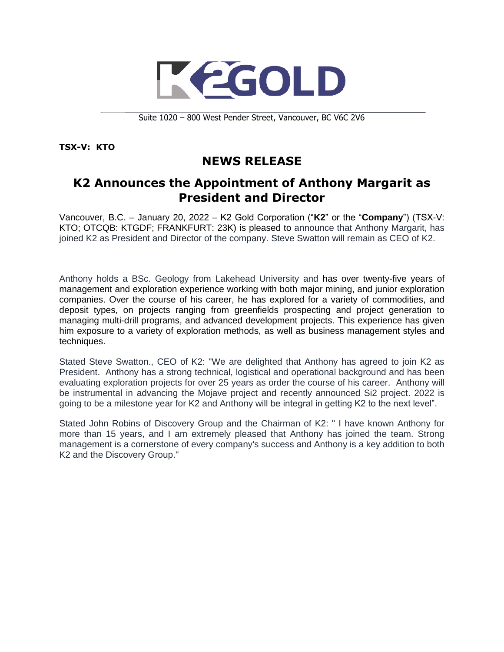

Suite 1020 – 800 West Pender Street, Vancouver, BC V6C 2V6

**TSX-V: KTO**

## **NEWS RELEASE**

## **K2 Announces the Appointment of Anthony Margarit as President and Director**

Vancouver, B.C. – January 20, 2022 – K2 Gold Corporation ("**K2**" or the "**Company**") (TSX-V: KTO; OTCQB: KTGDF; FRANKFURT: 23K) is pleased to announce that Anthony Margarit, has joined K2 as President and Director of the company. Steve Swatton will remain as CEO of K2.

Anthony holds a BSc. Geology from Lakehead University and has over twenty-five years of management and exploration experience working with both major mining, and junior exploration companies. Over the course of his career, he has explored for a variety of commodities, and deposit types, on projects ranging from greenfields prospecting and project generation to managing multi-drill programs, and advanced development projects. This experience has given him exposure to a variety of exploration methods, as well as business management styles and techniques.

Stated Steve Swatton., CEO of K2: "We are delighted that Anthony has agreed to join K2 as President. Anthony has a strong technical, logistical and operational background and has been evaluating exploration projects for over 25 years as order the course of his career. Anthony will be instrumental in advancing the Mojave project and recently announced Si2 project. 2022 is going to be a milestone year for K2 and Anthony will be integral in getting K2 to the next level".

Stated John Robins of Discovery Group and the Chairman of K2: " I have known Anthony for more than 15 years, and I am extremely pleased that Anthony has joined the team. Strong management is a cornerstone of every company's success and Anthony is a key addition to both K2 and the Discovery Group."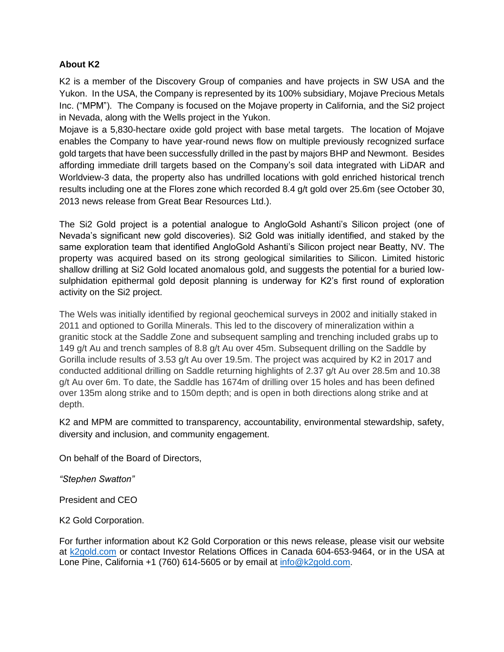## **About K2**

K2 is a member of the Discovery Group of companies and have projects in SW USA and the Yukon. In the USA, the Company is represented by its 100% subsidiary, Mojave Precious Metals Inc. ("MPM"). The Company is focused on the Mojave property in California, and the Si2 project in Nevada, along with the Wells project in the Yukon.

Mojave is a 5,830-hectare oxide gold project with base metal targets. The location of Mojave enables the Company to have year-round news flow on multiple previously recognized surface gold targets that have been successfully drilled in the past by majors BHP and Newmont. Besides affording immediate drill targets based on the Company's soil data integrated with LiDAR and Worldview-3 data, the property also has undrilled locations with gold enriched historical trench results including one at the Flores zone which recorded 8.4 g/t gold over 25.6m (see October 30, 2013 news release from Great Bear Resources Ltd.).

The Si2 Gold project is a potential analogue to AngloGold Ashanti's Silicon project (one of Nevada's significant new gold discoveries). Si2 Gold was initially identified, and staked by the same exploration team that identified AngloGold Ashanti's Silicon project near Beatty, NV. The property was acquired based on its strong geological similarities to Silicon. Limited historic shallow drilling at Si2 Gold located anomalous gold, and suggests the potential for a buried lowsulphidation epithermal gold deposit planning is underway for K2's first round of exploration activity on the Si2 project.

The Wels was initially identified by regional geochemical surveys in 2002 and initially staked in 2011 and optioned to Gorilla Minerals. This led to the discovery of mineralization within a granitic stock at the Saddle Zone and subsequent sampling and trenching included grabs up to 149 g/t Au and trench samples of 8.8 g/t Au over 45m. Subsequent drilling on the Saddle by Gorilla include results of 3.53 g/t Au over 19.5m. The project was acquired by K2 in 2017 and conducted additional drilling on Saddle returning highlights of 2.37 g/t Au over 28.5m and 10.38 g/t Au over 6m. To date, the Saddle has 1674m of drilling over 15 holes and has been defined over 135m along strike and to 150m depth; and is open in both directions along strike and at depth.

K2 and MPM are committed to transparency, accountability, environmental stewardship, safety, diversity and inclusion, and community engagement.

On behalf of the Board of Directors,

*"Stephen Swatton"*

President and CEO

K2 Gold Corporation.

For further information about K2 Gold Corporation or this news release, please visit our website at [k2gold.com](http://k2gold.com/) or contact Investor Relations Offices in Canada 604-653-9464, or in the USA at Lone Pine, California +1 (760) 614-5605 or by email at [info@k2gold.com.](mailto:info@k2gold.com)